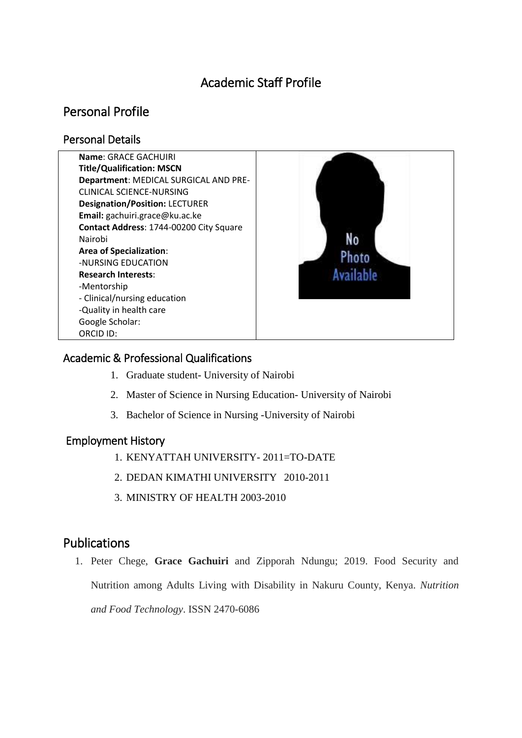# Academic Staff Profile

# Personal Profile

#### Personal Details



### Academic & Professional Qualifications

- 1. Graduate student- University of Nairobi
- 2. Master of Science in Nursing Education- University of Nairobi
- 3. Bachelor of Science in Nursing -University of Nairobi

#### Employment History

- 1. KENYATTAH UNIVERSITY- 2011=TO-DATE
- 2. DEDAN KIMATHI UNIVERSITY 2010-2011
- 3. MINISTRY OF HEALTH 2003-2010

## Publications

1. Peter Chege, **Grace Gachuiri** and Zipporah Ndungu; 2019. Food Security and Nutrition among Adults Living with Disability in Nakuru County, Kenya. *Nutrition and Food Technology*. ISSN 2470-6086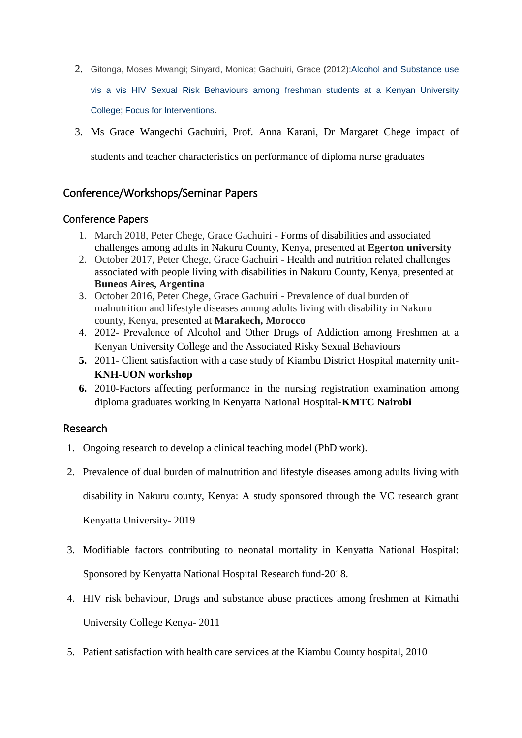- 2. Gitonga, Moses Mwangi; Sinyard, Monica; Gachuiri, Grace **(**2012):Alcohol and [Substance](http://repository.dkut.ac.ke:8080/xmlui/handle/123456789/634) use vis a vis HIV Sexual Risk [Behaviours](http://repository.dkut.ac.ke:8080/xmlui/handle/123456789/634) among freshman students at a Kenyan University College; Focus for [Interventions](http://repository.dkut.ac.ke:8080/xmlui/handle/123456789/634).
- 3. Ms Grace Wangechi Gachuiri, Prof. Anna Karani, Dr Margaret Chege impact of students and teacher characteristics on performance of diploma nurse graduates

### Conference/Workshops/Seminar Papers

#### Conference Papers

- 1. March 2018, Peter Chege, Grace Gachuiri Forms of disabilities and associated challenges among adults in Nakuru County, Kenya, presented at **Egerton university**
- 2. October 2017, Peter Chege, Grace Gachuiri Health and nutrition related challenges associated with people living with disabilities in Nakuru County, Kenya, presented at **Buneos Aires, Argentina**
- 3. October 2016, Peter Chege, Grace Gachuiri Prevalence of dual burden of malnutrition and lifestyle diseases among adults living with disability in Nakuru county, Kenya, presented at **Marakech, Morocco**
- 4. 2012- Prevalence of Alcohol and Other Drugs of Addiction among Freshmen at a Kenyan University College and the Associated Risky Sexual Behaviours
- **5.** 2011- Client satisfaction with a case study of Kiambu District Hospital maternity unit-**KNH-UON workshop**
- **6.** 2010-Factors affecting performance in the nursing registration examination among diploma graduates working in Kenyatta National Hospital-**KMTC Nairobi**

#### Research

- 1. Ongoing research to develop a clinical teaching model (PhD work).
- 2. Prevalence of dual burden of malnutrition and lifestyle diseases among adults living with

disability in Nakuru county, Kenya: A study sponsored through the VC research grant

Kenyatta University- 2019

- 3. Modifiable factors contributing to neonatal mortality in Kenyatta National Hospital: Sponsored by Kenyatta National Hospital Research fund-2018.
- 4. HIV risk behaviour, Drugs and substance abuse practices among freshmen at Kimathi University College Kenya- 2011
- 5. Patient satisfaction with health care services at the Kiambu County hospital, 2010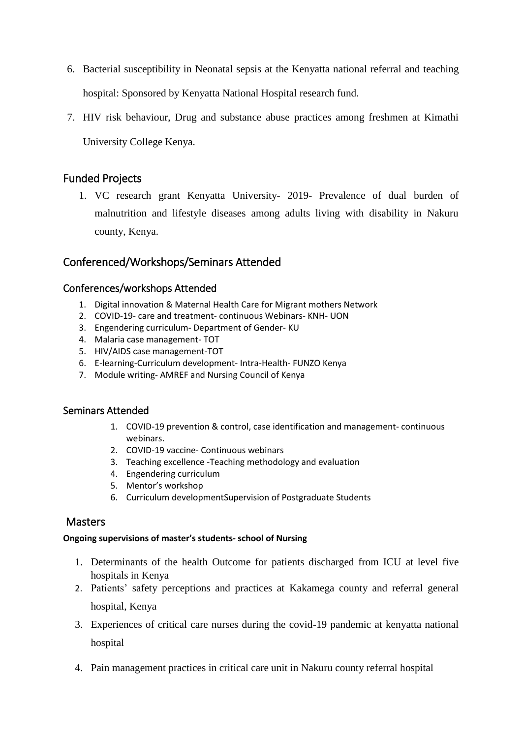- 6. Bacterial susceptibility in Neonatal sepsis at the Kenyatta national referral and teaching hospital: Sponsored by Kenyatta National Hospital research fund.
- 7. HIV risk behaviour, Drug and substance abuse practices among freshmen at Kimathi University College Kenya.

#### Funded Projects

1. VC research grant Kenyatta University- 2019- Prevalence of dual burden of malnutrition and lifestyle diseases among adults living with disability in Nakuru county, Kenya.

### Conferenced/Workshops/Seminars Attended

#### Conferences/workshops Attended

- 1. Digital innovation & Maternal Health Care for Migrant mothers Network
- 2. COVID-19- care and treatment- continuous Webinars- KNH- UON
- 3. Engendering curriculum- Department of Gender- KU
- 4. Malaria case management- TOT
- 5. HIV/AIDS case management-TOT
- 6. E-learning-Curriculum development- Intra-Health- FUNZO Kenya
- 7. Module writing- AMREF and Nursing Council of Kenya

#### Seminars Attended

- 1. COVID-19 prevention & control, case identification and management- continuous webinars.
- 2. COVID-19 vaccine- Continuous webinars
- 3. Teaching excellence -Teaching methodology and evaluation
- 4. Engendering curriculum
- 5. Mentor's workshop
- 6. Curriculum developmentSupervision of Postgraduate Students

#### **Masters**

#### **Ongoing supervisions of master's students- school of Nursing**

- 1. Determinants of the health Outcome for patients discharged from ICU at level five hospitals in Kenya
- 2. Patients' safety perceptions and practices at Kakamega county and referral general hospital, Kenya
- 3. Experiences of critical care nurses during the covid-19 pandemic at kenyatta national hospital
- 4. Pain management practices in critical care unit in Nakuru county referral hospital